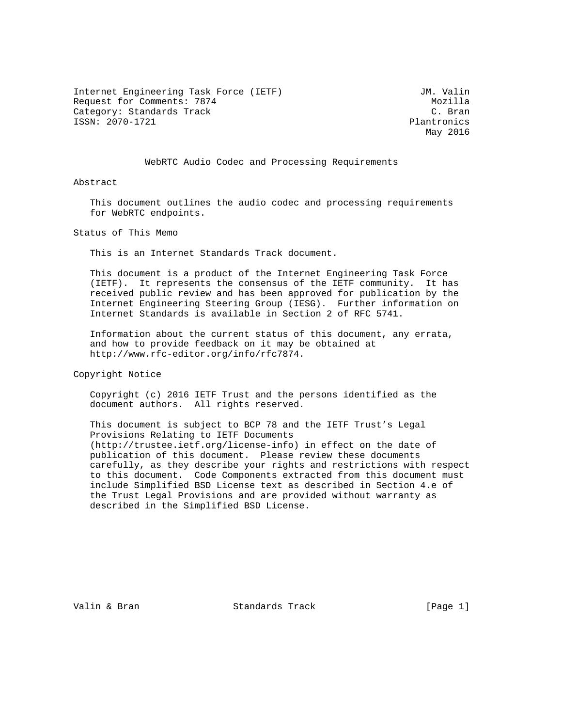Internet Engineering Task Force (IETF) Some Management Communist Communist Communist Communist Communist Communist Communist Communist Communist Communist Communist Communist Communist Communist Communist Communist Communi Request for Comments: 7874<br>Category: Standards Track Mozilla (C. Bran Category: Standards Track ISSN: 2070-1721 Plantronics

May 2016

## WebRTC Audio Codec and Processing Requirements

Abstract

 This document outlines the audio codec and processing requirements for WebRTC endpoints.

Status of This Memo

This is an Internet Standards Track document.

 This document is a product of the Internet Engineering Task Force (IETF). It represents the consensus of the IETF community. It has received public review and has been approved for publication by the Internet Engineering Steering Group (IESG). Further information on Internet Standards is available in Section 2 of RFC 5741.

 Information about the current status of this document, any errata, and how to provide feedback on it may be obtained at http://www.rfc-editor.org/info/rfc7874.

Copyright Notice

 Copyright (c) 2016 IETF Trust and the persons identified as the document authors. All rights reserved.

 This document is subject to BCP 78 and the IETF Trust's Legal Provisions Relating to IETF Documents (http://trustee.ietf.org/license-info) in effect on the date of publication of this document. Please review these documents carefully, as they describe your rights and restrictions with respect to this document. Code Components extracted from this document must include Simplified BSD License text as described in Section 4.e of the Trust Legal Provisions and are provided without warranty as described in the Simplified BSD License.

Valin & Bran Standards Track (Page 1)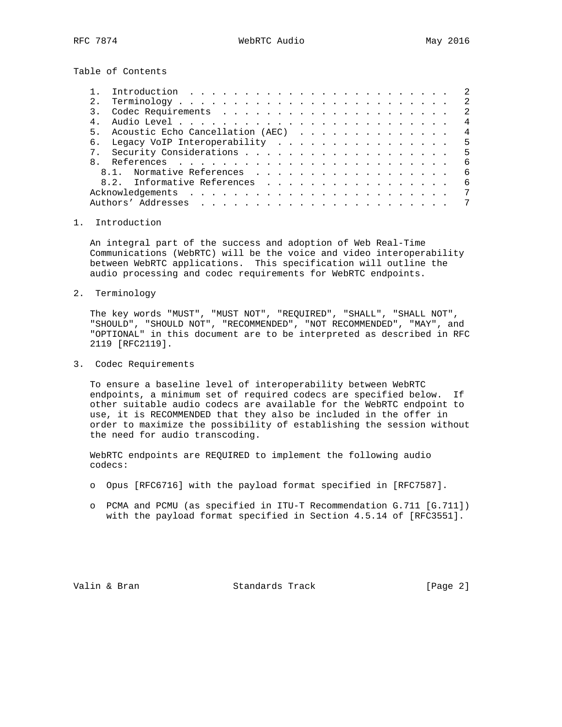Table of Contents

|       |                                  | $\mathcal{L}$  |
|-------|----------------------------------|----------------|
| 2.1   |                                  | -2             |
|       |                                  | -2.            |
|       |                                  | 4              |
| $5 -$ | Acoustic Echo Cancellation (AEC) | $\overline{4}$ |
| 6.    | Legacy VoIP Interoperability 5   |                |
|       |                                  | .5             |
|       |                                  | - 6            |
|       | 8.1. Normative References        | - 6            |
|       | 8.2. Informative References      | 6              |
|       |                                  | 7              |
|       |                                  |                |
|       |                                  |                |

## 1. Introduction

 An integral part of the success and adoption of Web Real-Time Communications (WebRTC) will be the voice and video interoperability between WebRTC applications. This specification will outline the audio processing and codec requirements for WebRTC endpoints.

2. Terminology

 The key words "MUST", "MUST NOT", "REQUIRED", "SHALL", "SHALL NOT", "SHOULD", "SHOULD NOT", "RECOMMENDED", "NOT RECOMMENDED", "MAY", and "OPTIONAL" in this document are to be interpreted as described in RFC 2119 [RFC2119].

3. Codec Requirements

 To ensure a baseline level of interoperability between WebRTC endpoints, a minimum set of required codecs are specified below. If other suitable audio codecs are available for the WebRTC endpoint to use, it is RECOMMENDED that they also be included in the offer in order to maximize the possibility of establishing the session without the need for audio transcoding.

 WebRTC endpoints are REQUIRED to implement the following audio codecs:

- o Opus [RFC6716] with the payload format specified in [RFC7587].
- o PCMA and PCMU (as specified in ITU-T Recommendation G.711 [G.711]) with the payload format specified in Section 4.5.14 of [RFC3551].

Valin & Bran Standards Track [Page 2]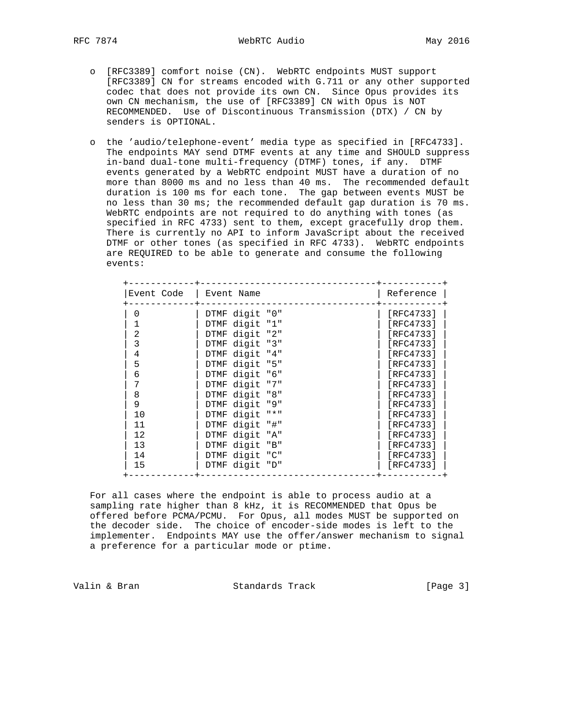- o [RFC3389] comfort noise (CN). WebRTC endpoints MUST support [RFC3389] CN for streams encoded with G.711 or any other supported codec that does not provide its own CN. Since Opus provides its own CN mechanism, the use of [RFC3389] CN with Opus is NOT RECOMMENDED. Use of Discontinuous Transmission (DTX) / CN by senders is OPTIONAL.
- o the 'audio/telephone-event' media type as specified in [RFC4733]. The endpoints MAY send DTMF events at any time and SHOULD suppress in-band dual-tone multi-frequency (DTMF) tones, if any. DTMF events generated by a WebRTC endpoint MUST have a duration of no more than 8000 ms and no less than 40 ms. The recommended default duration is 100 ms for each tone. The gap between events MUST be no less than 30 ms; the recommended default gap duration is 70 ms. WebRTC endpoints are not required to do anything with tones (as specified in RFC 4733) sent to them, except gracefully drop them. There is currently no API to inform JavaScript about the received DTMF or other tones (as specified in RFC 4733). WebRTC endpoints are REQUIRED to be able to generate and consume the following events:

| Event Code | Event Name                                      | Reference |  |
|------------|-------------------------------------------------|-----------|--|
| 0          | DTMF digit "0"                                  | [RFC4733] |  |
|            | DTMF digit "1"                                  | [RFC4733] |  |
| 2          | DTMF digit "2"                                  | [RFC4733] |  |
| 3          | DTMF digit "3"                                  | [RFC4733] |  |
| 4          | DTMF digit "4"                                  | [RFC4733] |  |
| 5          | DTMF digit "5"                                  | [RFC4733] |  |
| 6          | DTMF digit<br>"6"                               | [RFC4733] |  |
| 7          | DTMF digit<br>" 7 "                             | [RFC4733] |  |
| 8          | DTMF digit "8"                                  | [RFC4733] |  |
| 9          | DTMF digit "9"                                  | [RFC4733] |  |
| 10         | $\mathsf{H}$ $\star$ $\mathsf{H}$<br>DTMF digit | [RFC4733] |  |
| 11         | DTMF digit "#"                                  | [RFC4733] |  |
| 12         | DTMF digit "A"                                  | [RFC4733] |  |
| 13         | DTMF digit "B"                                  | [RFC4733] |  |
| 14         | DTMF digit "C"                                  | [RFC4733] |  |
| 15         | DTMF digit "D"                                  | [RFC4733] |  |
|            |                                                 |           |  |

 For all cases where the endpoint is able to process audio at a sampling rate higher than 8 kHz, it is RECOMMENDED that Opus be offered before PCMA/PCMU. For Opus, all modes MUST be supported on the decoder side. The choice of encoder-side modes is left to the implementer. Endpoints MAY use the offer/answer mechanism to signal a preference for a particular mode or ptime.

Valin & Bran Standards Track (Page 3)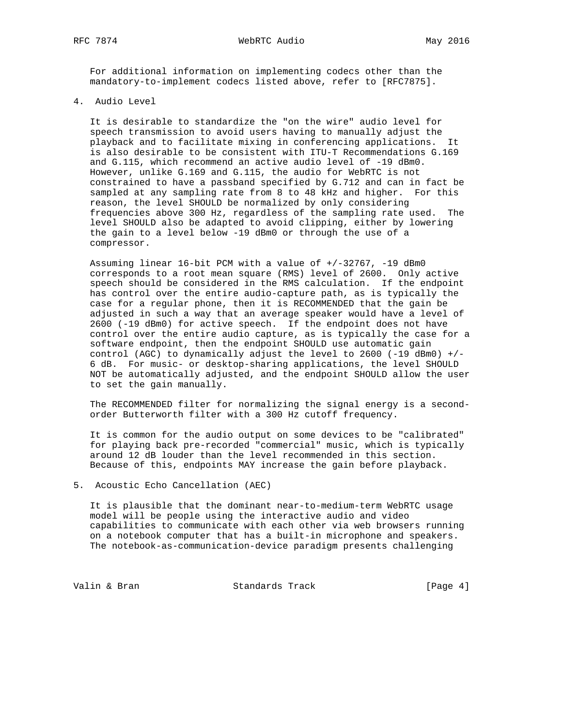For additional information on implementing codecs other than the mandatory-to-implement codecs listed above, refer to [RFC7875].

4. Audio Level

 It is desirable to standardize the "on the wire" audio level for speech transmission to avoid users having to manually adjust the playback and to facilitate mixing in conferencing applications. It is also desirable to be consistent with ITU-T Recommendations G.169 and G.115, which recommend an active audio level of -19 dBm0. However, unlike G.169 and G.115, the audio for WebRTC is not constrained to have a passband specified by G.712 and can in fact be sampled at any sampling rate from 8 to 48 kHz and higher. For this reason, the level SHOULD be normalized by only considering frequencies above 300 Hz, regardless of the sampling rate used. The level SHOULD also be adapted to avoid clipping, either by lowering the gain to a level below -19 dBm0 or through the use of a compressor.

 Assuming linear 16-bit PCM with a value of +/-32767, -19 dBm0 corresponds to a root mean square (RMS) level of 2600. Only active speech should be considered in the RMS calculation. If the endpoint has control over the entire audio-capture path, as is typically the case for a regular phone, then it is RECOMMENDED that the gain be adjusted in such a way that an average speaker would have a level of 2600 (-19 dBm0) for active speech. If the endpoint does not have control over the entire audio capture, as is typically the case for a software endpoint, then the endpoint SHOULD use automatic gain control (AGC) to dynamically adjust the level to 2600 (-19 dBm0) +/- 6 dB. For music- or desktop-sharing applications, the level SHOULD NOT be automatically adjusted, and the endpoint SHOULD allow the user to set the gain manually.

 The RECOMMENDED filter for normalizing the signal energy is a second order Butterworth filter with a 300 Hz cutoff frequency.

 It is common for the audio output on some devices to be "calibrated" for playing back pre-recorded "commercial" music, which is typically around 12 dB louder than the level recommended in this section. Because of this, endpoints MAY increase the gain before playback.

5. Acoustic Echo Cancellation (AEC)

 It is plausible that the dominant near-to-medium-term WebRTC usage model will be people using the interactive audio and video capabilities to communicate with each other via web browsers running on a notebook computer that has a built-in microphone and speakers. The notebook-as-communication-device paradigm presents challenging

Valin & Bran Standards Track (Page 4)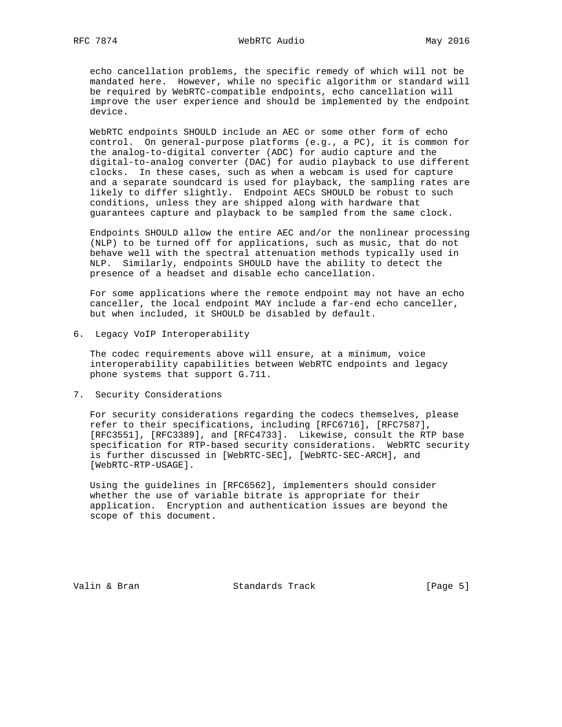echo cancellation problems, the specific remedy of which will not be mandated here. However, while no specific algorithm or standard will be required by WebRTC-compatible endpoints, echo cancellation will improve the user experience and should be implemented by the endpoint device.

 WebRTC endpoints SHOULD include an AEC or some other form of echo control. On general-purpose platforms (e.g., a PC), it is common for the analog-to-digital converter (ADC) for audio capture and the digital-to-analog converter (DAC) for audio playback to use different clocks. In these cases, such as when a webcam is used for capture and a separate soundcard is used for playback, the sampling rates are likely to differ slightly. Endpoint AECs SHOULD be robust to such conditions, unless they are shipped along with hardware that guarantees capture and playback to be sampled from the same clock.

 Endpoints SHOULD allow the entire AEC and/or the nonlinear processing (NLP) to be turned off for applications, such as music, that do not behave well with the spectral attenuation methods typically used in NLP. Similarly, endpoints SHOULD have the ability to detect the presence of a headset and disable echo cancellation.

 For some applications where the remote endpoint may not have an echo canceller, the local endpoint MAY include a far-end echo canceller, but when included, it SHOULD be disabled by default.

6. Legacy VoIP Interoperability

 The codec requirements above will ensure, at a minimum, voice interoperability capabilities between WebRTC endpoints and legacy phone systems that support G.711.

7. Security Considerations

 For security considerations regarding the codecs themselves, please refer to their specifications, including [RFC6716], [RFC7587], [RFC3551], [RFC3389], and [RFC4733]. Likewise, consult the RTP base specification for RTP-based security considerations. WebRTC security is further discussed in [WebRTC-SEC], [WebRTC-SEC-ARCH], and [WebRTC-RTP-USAGE].

 Using the guidelines in [RFC6562], implementers should consider whether the use of variable bitrate is appropriate for their application. Encryption and authentication issues are beyond the scope of this document.

Valin & Bran Standards Track [Page 5]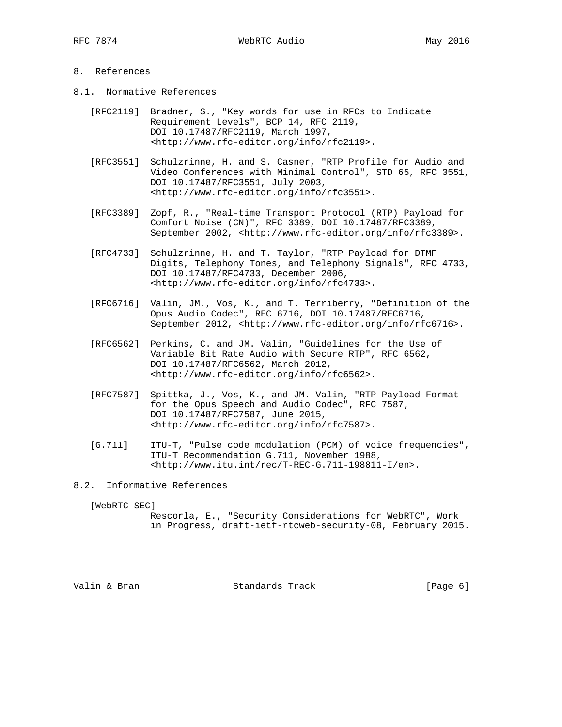## 8. References

- 8.1. Normative References
	- [RFC2119] Bradner, S., "Key words for use in RFCs to Indicate Requirement Levels", BCP 14, RFC 2119, DOI 10.17487/RFC2119, March 1997, <http://www.rfc-editor.org/info/rfc2119>.
	- [RFC3551] Schulzrinne, H. and S. Casner, "RTP Profile for Audio and Video Conferences with Minimal Control", STD 65, RFC 3551, DOI 10.17487/RFC3551, July 2003, <http://www.rfc-editor.org/info/rfc3551>.
	- [RFC3389] Zopf, R., "Real-time Transport Protocol (RTP) Payload for Comfort Noise (CN)", RFC 3389, DOI 10.17487/RFC3389, September 2002, <http://www.rfc-editor.org/info/rfc3389>.
	- [RFC4733] Schulzrinne, H. and T. Taylor, "RTP Payload for DTMF Digits, Telephony Tones, and Telephony Signals", RFC 4733, DOI 10.17487/RFC4733, December 2006, <http://www.rfc-editor.org/info/rfc4733>.
	- [RFC6716] Valin, JM., Vos, K., and T. Terriberry, "Definition of the Opus Audio Codec", RFC 6716, DOI 10.17487/RFC6716, September 2012, <http://www.rfc-editor.org/info/rfc6716>.
	- [RFC6562] Perkins, C. and JM. Valin, "Guidelines for the Use of Variable Bit Rate Audio with Secure RTP", RFC 6562, DOI 10.17487/RFC6562, March 2012, <http://www.rfc-editor.org/info/rfc6562>.
	- [RFC7587] Spittka, J., Vos, K., and JM. Valin, "RTP Payload Format for the Opus Speech and Audio Codec", RFC 7587, DOI 10.17487/RFC7587, June 2015, <http://www.rfc-editor.org/info/rfc7587>.
	- [G.711] ITU-T, "Pulse code modulation (PCM) of voice frequencies", ITU-T Recommendation G.711, November 1988, <http://www.itu.int/rec/T-REC-G.711-198811-I/en>.
- 8.2. Informative References

[WebRTC-SEC]

 Rescorla, E., "Security Considerations for WebRTC", Work in Progress, draft-ietf-rtcweb-security-08, February 2015.

Valin & Bran Standards Track (Page 6)